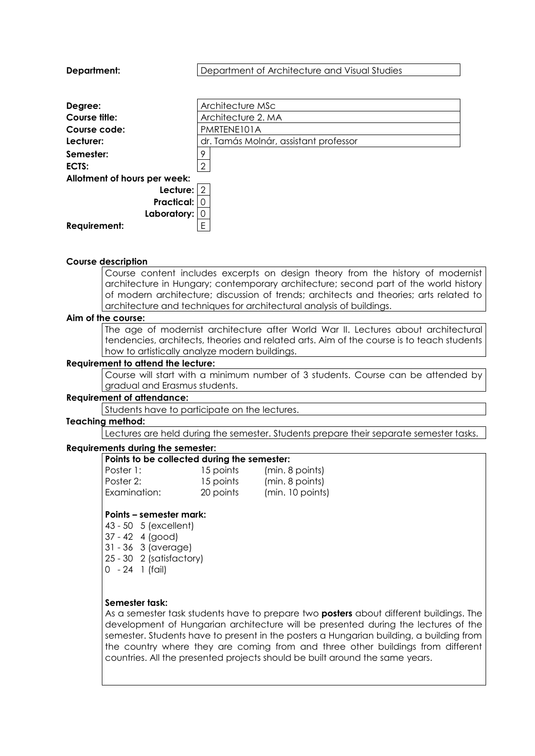| Department:                  | Department of Architecture and Visual Studies |  |  |  |
|------------------------------|-----------------------------------------------|--|--|--|
|                              |                                               |  |  |  |
| Degree:                      | Architecture MSc                              |  |  |  |
| Course title:                | Architecture 2. MA                            |  |  |  |
| Course code:                 | PMRTENE101A                                   |  |  |  |
| Lecturer:                    | dr. Tamás Molnár, assistant professor         |  |  |  |
| Semester:                    | о                                             |  |  |  |
| ECTS:                        | 2                                             |  |  |  |
| Allotment of hours per week: |                                               |  |  |  |
| Lecture:                     | -2                                            |  |  |  |
| Practical:                   |                                               |  |  |  |
| Laboratory:                  |                                               |  |  |  |
| Requirement:                 | F                                             |  |  |  |

## **Course description**

Course content includes excerpts on design theory from the history of modernist architecture in Hungary; contemporary architecture; second part of the world history of modern architecture; discussion of trends; architects and theories; arts related to architecture and techniques for architectural analysis of buildings.

#### **Aim of the course:**

The age of modernist architecture after World War II. Lectures about architectural tendencies, architects, theories and related arts. Aim of the course is to teach students how to artistically analyze modern buildings.

#### **Requirement to attend the lecture:**

Course will start with a minimum number of 3 students. Course can be attended by gradual and Erasmus students.

#### **Requirement of attendance:**

Students have to participate on the lectures.

#### **Teaching method:**

Lectures are held during the semester. Students prepare their separate semester tasks.

#### **Requirements during the semester:**

| Points to be co |
|-----------------|
| Poster 1:       |
| Poster 2:       |
| Examination:    |

**Points to be collected during the semester:**

15 points (min. 8 points) 15 points (min. 8 points) 20 points (min. 10 points)

#### **Points – semester mark:**

43 - 50 5 (excellent)

- 37 42 4 (good)
- 31 36 3 (average)
- 25 30 2 (satisfactory)
- 0 24 1 (fail)

### **Semester task:**

As a semester task students have to prepare two **posters** about different buildings. The development of Hungarian architecture will be presented during the lectures of the semester. Students have to present in the posters a Hungarian building, a building from the country where they are coming from and three other buildings from different countries. All the presented projects should be built around the same years.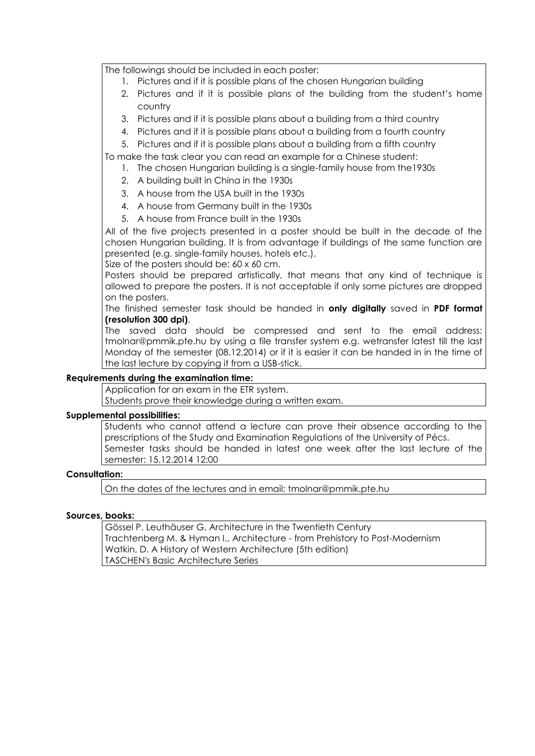The followings should be included in each poster:

- 1. Pictures and if it is possible plans of the chosen Hungarian building
- 2. Pictures and if it is possible plans of the building from the student's home country
- 3. Pictures and if it is possible plans about a building from a third country
- 4. Pictures and if it is possible plans about a building from a fourth country
- 5. Pictures and if it is possible plans about a building from a fifth country

To make the task clear you can read an example for a Chinese student:

- 1. The chosen Hungarian building is a single-family house from the1930s
	- 2. A building built in China in the 1930s
	- 3. A house from the USA built in the 1930s
	- 4. A house from Germany built in the 1930s
- 5. A house from France built in the 1930s

All of the five projects presented in a poster should be built in the decade of the chosen Hungarian building. It is from advantage if buildings of the same function are presented (e.g. single-family houses, hotels etc.).

Size of the posters should be: 60 x 60 cm.

Posters should be prepared artistically, that means that any kind of technique is allowed to prepare the posters. It is not acceptable if only some pictures are dropped on the posters.

The finished semester task should be handed in **only digitally** saved in **PDF format (resolution 300 dpi)**.

The saved data should be compressed and sent to the email address: tmolnar@pmmik.pte.hu by using a file transfer system e.g. wetransfer latest till the last Monday of the semester (08.12.2014) or if it is easier it can be handed in in the time of the last lecture by copying it from a USB-stick.

# **Requirements during the examination time:**

Application for an exam in the ETR system.

Students prove their knowledge during a written exam.

## **Supplemental possibilities:**

Students who cannot attend a lecture can prove their absence according to the prescriptions of the Study and Examination Regulations of the University of Pécs. Semester tasks should be handed in latest one week after the last lecture of the semester: 15.12.2014 12:00

## **Consultation:**

On the dates of the lectures and in email: tmolnar@pmmik.pte.hu

## **Sources, books:**

Gössel P. Leuthäuser G, Architecture in the Twentieth Century Trachtenberg M. & Hyman I., Architecture - from Prehistory to Post-Modernism Watkin, D. A History of Western Architecture (5th edition) TASCHEN's Basic Architecture Series